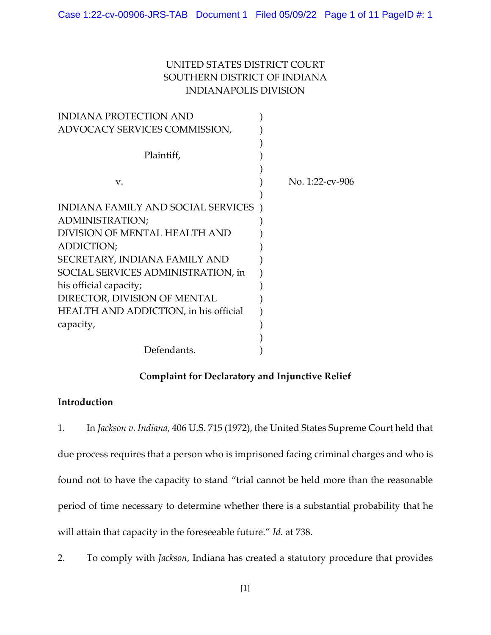# UNITED STATES DISTRICT COURT SOUTHERN DISTRICT OF INDIANA INDIANAPOLIS DIVISION

| <b>INDIANA PROTECTION AND</b>                |                 |
|----------------------------------------------|-----------------|
| ADVOCACY SERVICES COMMISSION,                |                 |
|                                              |                 |
| Plaintiff,                                   |                 |
|                                              |                 |
| V.                                           | No. 1:22-cv-906 |
|                                              |                 |
| INDIANA FAMILY AND SOCIAL SERVICES           |                 |
| ADMINISTRATION;                              |                 |
| DIVISION OF MENTAL HEALTH AND                |                 |
| ADDICTION;                                   |                 |
| SECRETARY, INDIANA FAMILY AND                |                 |
| SOCIAL SERVICES ADMINISTRATION, in           |                 |
| his official capacity;                       |                 |
| DIRECTOR, DIVISION OF MENTAL                 |                 |
| <b>HEALTH AND ADDICTION, in his official</b> |                 |
| capacity,                                    |                 |
|                                              |                 |
| Defendants.                                  |                 |

## **Complaint for Declaratory and Injunctive Relief**

# **Introduction**

1. In *Jackson v. Indiana*, 406 U.S. 715 (1972), the United States Supreme Court held that due process requires that a person who is imprisoned facing criminal charges and who is found not to have the capacity to stand "trial cannot be held more than the reasonable period of time necessary to determine whether there is a substantial probability that he will attain that capacity in the foreseeable future." *Id.* at 738.

2. To comply with *Jackson*, Indiana has created a statutory procedure that provides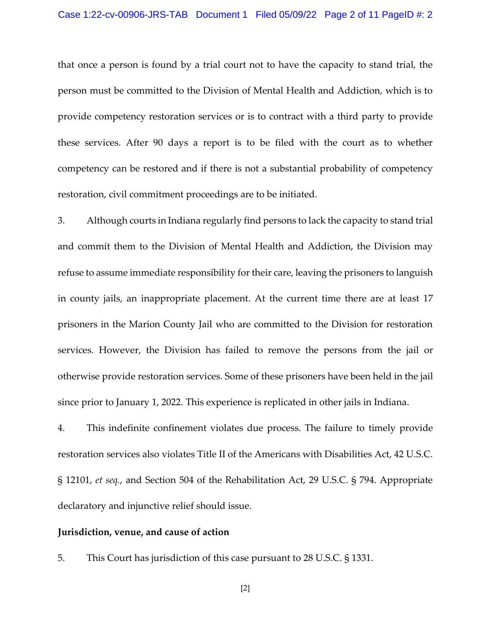#### Case 1:22-cv-00906-JRS-TAB Document 1 Filed 05/09/22 Page 2 of 11 PageID #: 2

that once a person is found by a trial court not to have the capacity to stand trial, the person must be committed to the Division of Mental Health and Addiction, which is to provide competency restoration services or is to contract with a third party to provide these services. After 90 days a report is to be filed with the court as to whether competency can be restored and if there is not a substantial probability of competency restoration, civil commitment proceedings are to be initiated.

3. Although courts in Indiana regularly find persons to lack the capacity to stand trial and commit them to the Division of Mental Health and Addiction, the Division may refuse to assume immediate responsibility for their care, leaving the prisoners to languish in county jails, an inappropriate placement. At the current time there are at least 17 prisoners in the Marion County Jail who are committed to the Division for restoration services. However, the Division has failed to remove the persons from the jail or otherwise provide restoration services. Some of these prisoners have been held in the jail since prior to January 1, 2022. This experience is replicated in other jails in Indiana.

4. This indefinite confinement violates due process. The failure to timely provide restoration services also violates Title II of the Americans with Disabilities Act, 42 U.S.C. § 12101, *et seq.*, and Section 504 of the Rehabilitation Act, 29 U.S.C. § 794. Appropriate declaratory and injunctive relief should issue.

#### **Jurisdiction, venue, and cause of action**

5. This Court has jurisdiction of this case pursuant to 28 U.S.C. § 1331.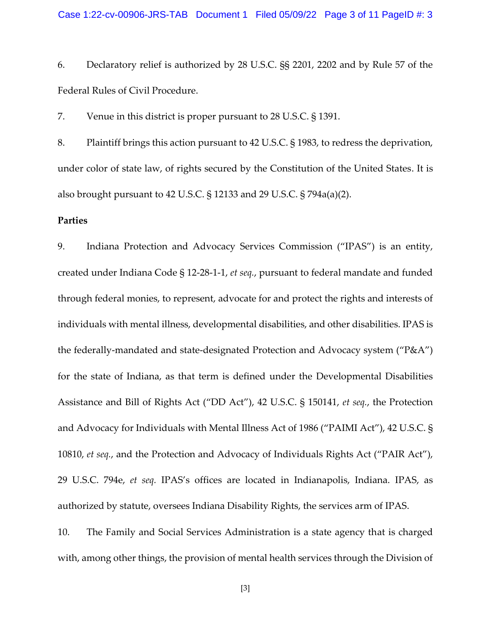6. Declaratory relief is authorized by 28 U.S.C. §§ 2201, 2202 and by Rule 57 of the Federal Rules of Civil Procedure.

7. Venue in this district is proper pursuant to 28 U.S.C. § 1391.

8. Plaintiff brings this action pursuant to 42 U.S.C. § 1983, to redress the deprivation, under color of state law, of rights secured by the Constitution of the United States. It is also brought pursuant to 42 U.S.C. § 12133 and 29 U.S.C. § 794a(a)(2).

### **Parties**

9. Indiana Protection and Advocacy Services Commission ("IPAS") is an entity, created under Indiana Code § 12-28-1-1, *et seq.*, pursuant to federal mandate and funded through federal monies, to represent, advocate for and protect the rights and interests of individuals with mental illness, developmental disabilities, and other disabilities. IPAS is the federally-mandated and state-designated Protection and Advocacy system ("P&A") for the state of Indiana, as that term is defined under the Developmental Disabilities Assistance and Bill of Rights Act ("DD Act"), 42 U.S.C. § 150141, *et seq.*, the Protection and Advocacy for Individuals with Mental Illness Act of 1986 ("PAIMI Act"), 42 U.S.C. § 10810, *et seq.*, and the Protection and Advocacy of Individuals Rights Act ("PAIR Act"), 29 U.S.C. 794e, *et seq.* IPAS's offices are located in Indianapolis, Indiana. IPAS, as authorized by statute, oversees Indiana Disability Rights, the services arm of IPAS.

10. The Family and Social Services Administration is a state agency that is charged with, among other things, the provision of mental health services through the Division of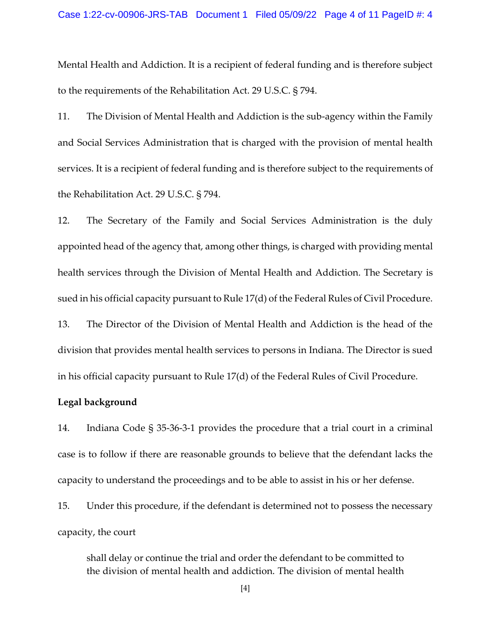Mental Health and Addiction. It is a recipient of federal funding and is therefore subject to the requirements of the Rehabilitation Act. 29 U.S.C. § 794.

11. The Division of Mental Health and Addiction is the sub-agency within the Family and Social Services Administration that is charged with the provision of mental health services. It is a recipient of federal funding and is therefore subject to the requirements of the Rehabilitation Act. 29 U.S.C. § 794.

12. The Secretary of the Family and Social Services Administration is the duly appointed head of the agency that, among other things, is charged with providing mental health services through the Division of Mental Health and Addiction. The Secretary is sued in his official capacity pursuant to Rule 17(d) of the Federal Rules of Civil Procedure.

13. The Director of the Division of Mental Health and Addiction is the head of the division that provides mental health services to persons in Indiana. The Director is sued in his official capacity pursuant to Rule 17(d) of the Federal Rules of Civil Procedure.

### **Legal background**

14. Indiana Code § 35-36-3-1 provides the procedure that a trial court in a criminal case is to follow if there are reasonable grounds to believe that the defendant lacks the capacity to understand the proceedings and to be able to assist in his or her defense.

15. Under this procedure, if the defendant is determined not to possess the necessary capacity, the court

shall delay or continue the trial and order the defendant to be committed to the division of mental health and addiction. The division of mental health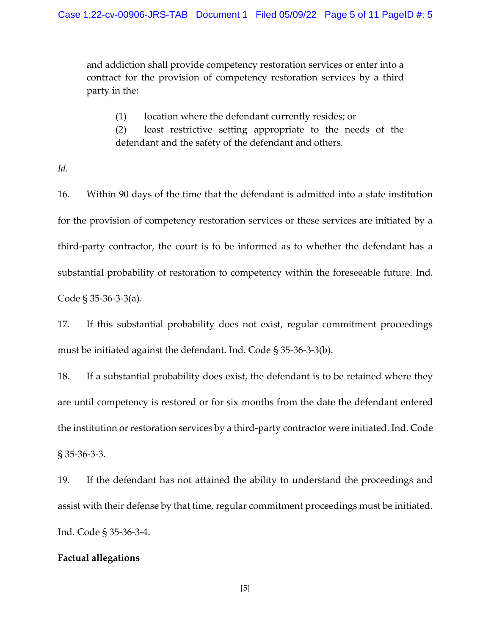and addiction shall provide competency restoration services or enter into a contract for the provision of competency restoration services by a third party in the:

(1) location where the defendant currently resides; or

(2) least restrictive setting appropriate to the needs of the defendant and the safety of the defendant and others.

*Id.*

16. Within 90 days of the time that the defendant is admitted into a state institution for the provision of competency restoration services or these services are initiated by a third-party contractor, the court is to be informed as to whether the defendant has a substantial probability of restoration to competency within the foreseeable future. Ind. Code § 35-36-3-3(a).

17. If this substantial probability does not exist, regular commitment proceedings must be initiated against the defendant. Ind. Code § 35-36-3-3(b).

18. If a substantial probability does exist, the defendant is to be retained where they are until competency is restored or for six months from the date the defendant entered the institution or restoration services by a third-party contractor were initiated. Ind. Code § 35-36-3-3.

19. If the defendant has not attained the ability to understand the proceedings and assist with their defense by that time, regular commitment proceedings must be initiated. Ind. Code § 35-36-3-4.

## **Factual allegations**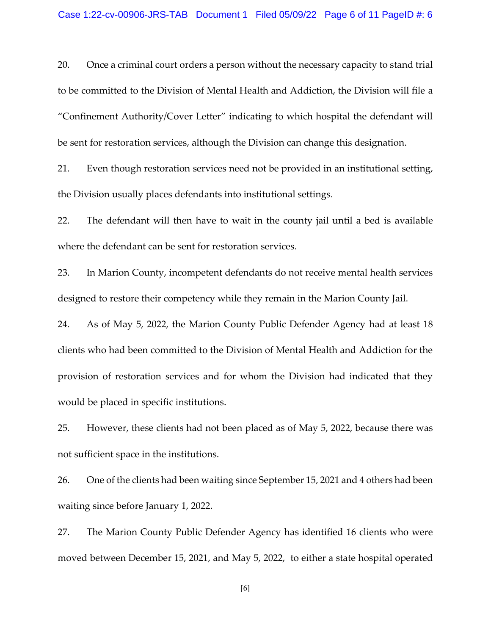20. Once a criminal court orders a person without the necessary capacity to stand trial to be committed to the Division of Mental Health and Addiction, the Division will file a "Confinement Authority/Cover Letter" indicating to which hospital the defendant will be sent for restoration services, although the Division can change this designation.

21. Even though restoration services need not be provided in an institutional setting, the Division usually places defendants into institutional settings.

22. The defendant will then have to wait in the county jail until a bed is available where the defendant can be sent for restoration services.

23. In Marion County, incompetent defendants do not receive mental health services designed to restore their competency while they remain in the Marion County Jail.

24. As of May 5, 2022, the Marion County Public Defender Agency had at least 18 clients who had been committed to the Division of Mental Health and Addiction for the provision of restoration services and for whom the Division had indicated that they would be placed in specific institutions.

25. However, these clients had not been placed as of May 5, 2022, because there was not sufficient space in the institutions.

26. One of the clients had been waiting since September 15, 2021 and 4 others had been waiting since before January 1, 2022.

27. The Marion County Public Defender Agency has identified 16 clients who were moved between December 15, 2021, and May 5, 2022, to either a state hospital operated

[6]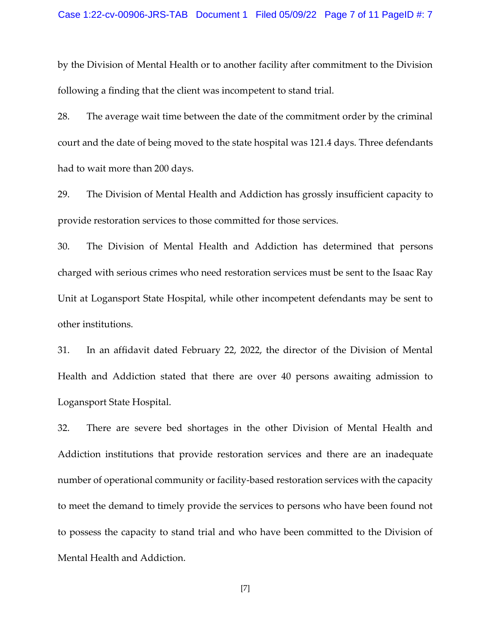by the Division of Mental Health or to another facility after commitment to the Division following a finding that the client was incompetent to stand trial.

28. The average wait time between the date of the commitment order by the criminal court and the date of being moved to the state hospital was 121.4 days. Three defendants had to wait more than 200 days.

29. The Division of Mental Health and Addiction has grossly insufficient capacity to provide restoration services to those committed for those services.

30. The Division of Mental Health and Addiction has determined that persons charged with serious crimes who need restoration services must be sent to the Isaac Ray Unit at Logansport State Hospital, while other incompetent defendants may be sent to other institutions.

31. In an affidavit dated February 22, 2022, the director of the Division of Mental Health and Addiction stated that there are over 40 persons awaiting admission to Logansport State Hospital.

32. There are severe bed shortages in the other Division of Mental Health and Addiction institutions that provide restoration services and there are an inadequate number of operational community or facility-based restoration services with the capacity to meet the demand to timely provide the services to persons who have been found not to possess the capacity to stand trial and who have been committed to the Division of Mental Health and Addiction.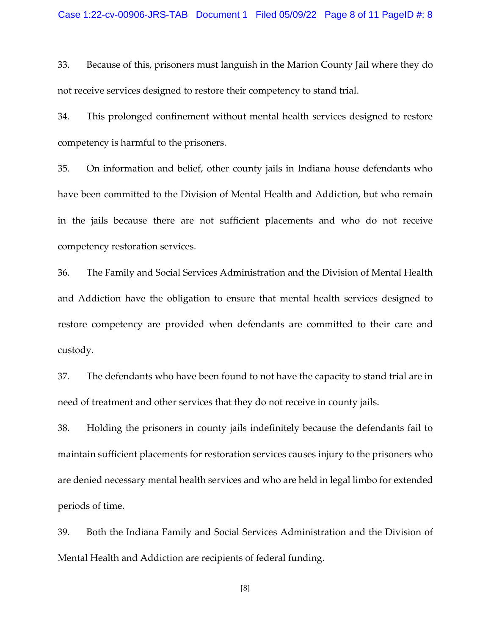33. Because of this, prisoners must languish in the Marion County Jail where they do not receive services designed to restore their competency to stand trial.

34. This prolonged confinement without mental health services designed to restore competency is harmful to the prisoners.

35. On information and belief, other county jails in Indiana house defendants who have been committed to the Division of Mental Health and Addiction, but who remain in the jails because there are not sufficient placements and who do not receive competency restoration services.

36. The Family and Social Services Administration and the Division of Mental Health and Addiction have the obligation to ensure that mental health services designed to restore competency are provided when defendants are committed to their care and custody.

37. The defendants who have been found to not have the capacity to stand trial are in need of treatment and other services that they do not receive in county jails.

38. Holding the prisoners in county jails indefinitely because the defendants fail to maintain sufficient placements for restoration services causes injury to the prisoners who are denied necessary mental health services and who are held in legal limbo for extended periods of time.

39. Both the Indiana Family and Social Services Administration and the Division of Mental Health and Addiction are recipients of federal funding.

[8]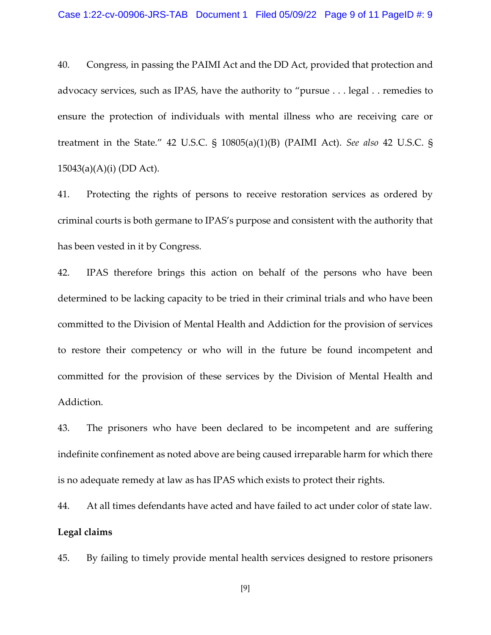40. Congress, in passing the PAIMI Act and the DD Act, provided that protection and advocacy services, such as IPAS, have the authority to "pursue . . . legal . . remedies to ensure the protection of individuals with mental illness who are receiving care or treatment in the State." 42 U.S.C. § 10805(a)(1)(B) (PAIMI Act). *See also* 42 U.S.C. § 15043(a)(A)(i) (DD Act).

41. Protecting the rights of persons to receive restoration services as ordered by criminal courts is both germane to IPAS's purpose and consistent with the authority that has been vested in it by Congress.

42. IPAS therefore brings this action on behalf of the persons who have been determined to be lacking capacity to be tried in their criminal trials and who have been committed to the Division of Mental Health and Addiction for the provision of services to restore their competency or who will in the future be found incompetent and committed for the provision of these services by the Division of Mental Health and Addiction.

43. The prisoners who have been declared to be incompetent and are suffering indefinite confinement as noted above are being caused irreparable harm for which there is no adequate remedy at law as has IPAS which exists to protect their rights.

44. At all times defendants have acted and have failed to act under color of state law. **Legal claims**

45. By failing to timely provide mental health services designed to restore prisoners

[9]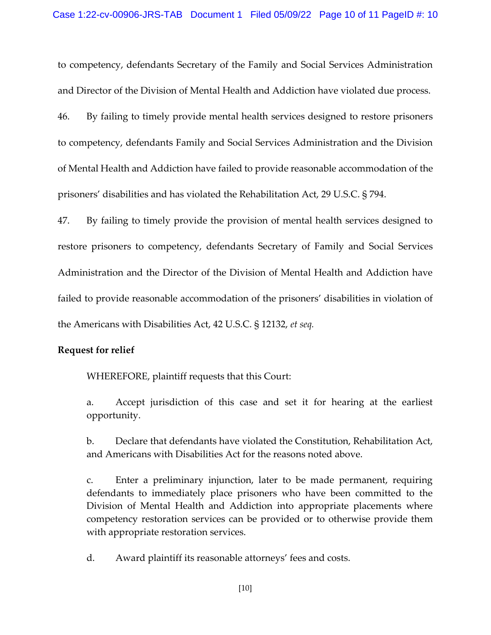to competency, defendants Secretary of the Family and Social Services Administration and Director of the Division of Mental Health and Addiction have violated due process.

46. By failing to timely provide mental health services designed to restore prisoners to competency, defendants Family and Social Services Administration and the Division of Mental Health and Addiction have failed to provide reasonable accommodation of the prisoners' disabilities and has violated the Rehabilitation Act, 29 U.S.C. § 794.

47. By failing to timely provide the provision of mental health services designed to restore prisoners to competency, defendants Secretary of Family and Social Services Administration and the Director of the Division of Mental Health and Addiction have failed to provide reasonable accommodation of the prisoners' disabilities in violation of the Americans with Disabilities Act, 42 U.S.C. § 12132, *et seq.*

## **Request for relief**

WHEREFORE, plaintiff requests that this Court:

a. Accept jurisdiction of this case and set it for hearing at the earliest opportunity.

b. Declare that defendants have violated the Constitution, Rehabilitation Act, and Americans with Disabilities Act for the reasons noted above.

c. Enter a preliminary injunction, later to be made permanent, requiring defendants to immediately place prisoners who have been committed to the Division of Mental Health and Addiction into appropriate placements where competency restoration services can be provided or to otherwise provide them with appropriate restoration services.

d. Award plaintiff its reasonable attorneys' fees and costs.